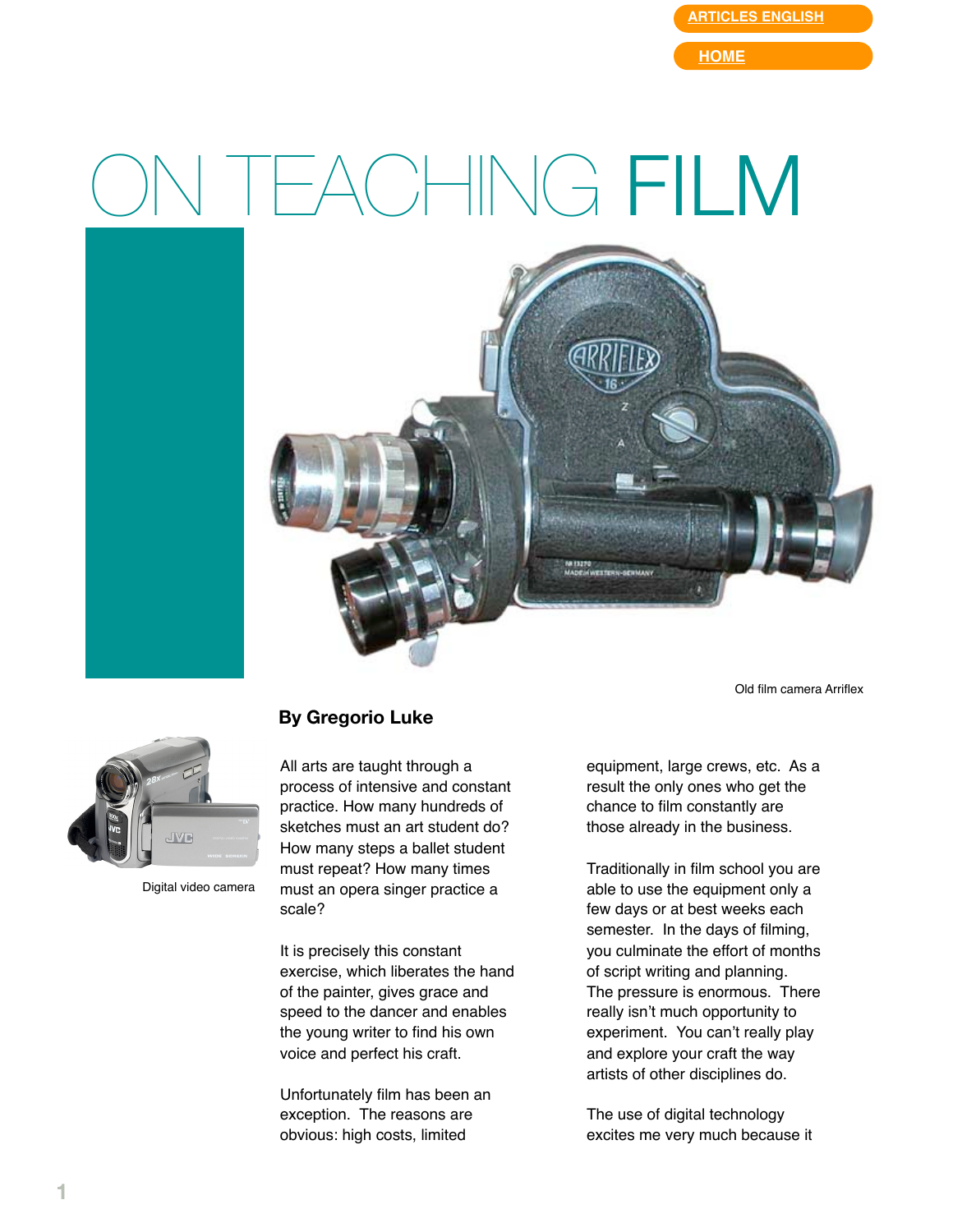**[ARTICLES ENGLISH](http://web.mac.com/gregorioluke/Site/Articles_in_English.html)**

**[HOME](http://web.mac.com/gregorioluke/Site/Home.html)**

## TEACHING **FILM**



Old film camera Arriflex



Digital video camera

## **By Gregorio Luke**

All arts are taught through a process of intensive and constant practice. How many hundreds of sketches must an art student do? How many steps a ballet student must repeat? How many times must an opera singer practice a scale?

It is precisely this constant exercise, which liberates the hand of the painter, gives grace and speed to the dancer and enables the young writer to find his own voice and perfect his craft.

Unfortunately film has been an exception. The reasons are obvious: high costs, limited

equipment, large crews, etc. As a result the only ones who get the chance to film constantly are those already in the business.

Traditionally in film school you are able to use the equipment only a few days or at best weeks each semester. In the days of filming, you culminate the effort of months of script writing and planning. The pressure is enormous. There really isn't much opportunity to experiment. You can't really play and explore your craft the way artists of other disciplines do.

The use of digital technology excites me very much because it